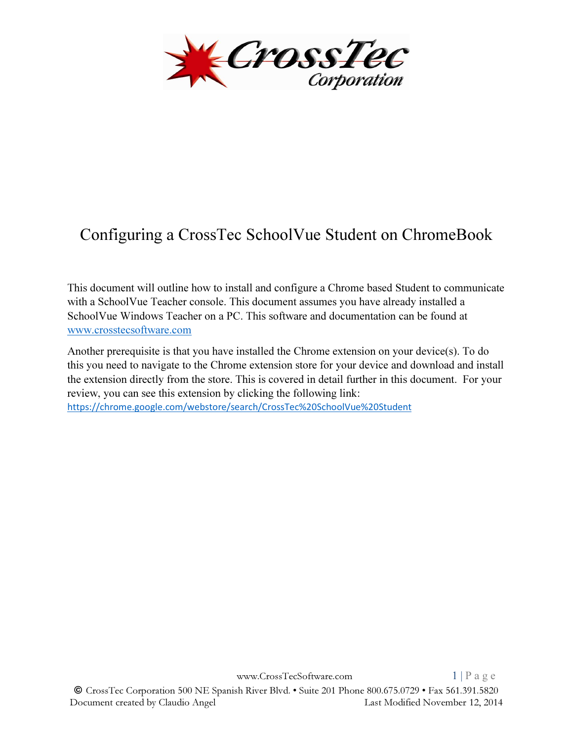

## Configuring a CrossTec SchoolVue Student on ChromeBook

This document will outline how to install and configure a Chrome based Student to communicate with a SchoolVue Teacher console. This document assumes you have already installed a SchoolVue Windows Teacher on a PC. This software and documentation can be found at www.crosstecsoftware.com

Another prerequisite is that you have installed the Chrome extension on your device(s). To do this you need to navigate to the Chrome extension store for your device and download and install the extension directly from the store. This is covered in detail further in this document. For your review, you can see this extension by clicking the following link: https://chrome.google.com/webstore/search/CrossTec%20SchoolVue%20Student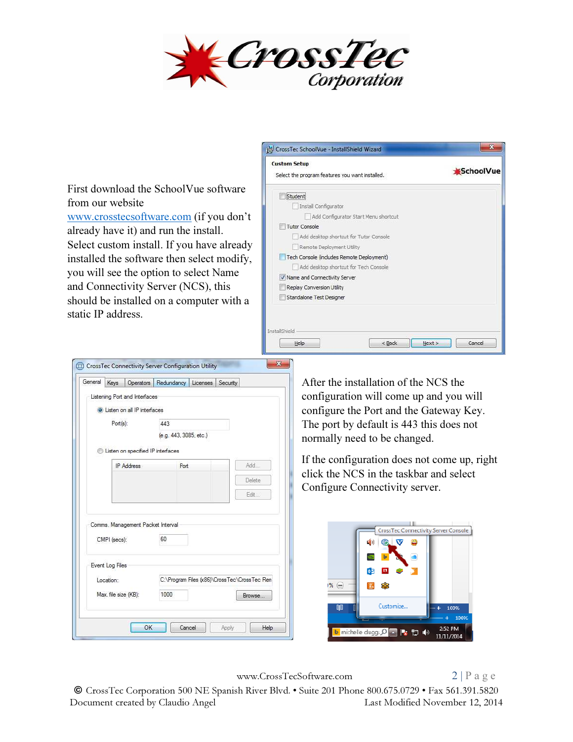

| First download the SchoolVue software      |
|--------------------------------------------|
| from our website                           |
| www.crosstecsoftware.com (if you don't     |
| already have it) and run the install.      |
| Select custom install. If you have already |
| installed the software then select modify, |
| you will see the option to select Name     |
| and Connectivity Server (NCS), this        |
| should be installed on a computer with a   |
| static IP address.                         |
|                                            |



| General   | Kevs                              | Operators Redundancy Licenses Security       |               | After the installation of the NCS the                  |
|-----------|-----------------------------------|----------------------------------------------|---------------|--------------------------------------------------------|
|           | Listening Port and Interfaces     |                                              |               | configuration will come up and you will                |
|           | Listen on all IP interfaces       |                                              |               | configure the Port and the Gateway Key.                |
| Port(s):  |                                   | 443                                          |               | The port by default is 443 this does not               |
|           |                                   | (e.g. 443, 3085, etc.)                       |               | normally need to be changed.                           |
|           | Listen on specified IP interfaces |                                              |               |                                                        |
|           | <b>IP Address</b>                 | Port                                         | Add           | If the configuration does not come up, right           |
|           |                                   |                                              | Delete        | click the NCS in the taskbar and select                |
|           |                                   |                                              |               | Configure Connectivity server.                         |
|           |                                   |                                              | Fdit.         |                                                        |
|           |                                   |                                              |               |                                                        |
|           | Comms. Management Packet Interval |                                              |               | <b>CrossTec Connectivity Server Console</b>            |
|           | CMPI (secs):                      | 60                                           |               | е'n                                                    |
|           |                                   |                                              |               |                                                        |
|           | Event Log Files                   |                                              |               |                                                        |
| Location: |                                   | C:\Program Files (x86)\CrossTec\CrossTec Ren |               |                                                        |
|           | Max. file size (KB):              | 1000                                         | Browse        | $96 \oplus$                                            |
|           |                                   |                                              |               | Customize<br>圃<br>100%<br>- 45                         |
|           |                                   |                                              |               | 100%                                                   |
|           |                                   | OK<br>Cancel                                 | Help<br>Apply | 2:52 PM<br><b>b</b> michelle dugg: Q Q<br>11.40<br>Iю. |
|           |                                   |                                              |               | 11/11/2014                                             |

www.CrossTecSoftware.com 2 | P a g e

© CrossTec Corporation 500 NE Spanish River Blvd. • Suite 201 Phone 800.675.0729 • Fax 561.391.5820 Document created by Claudio Angel Last Modified November 12, 2014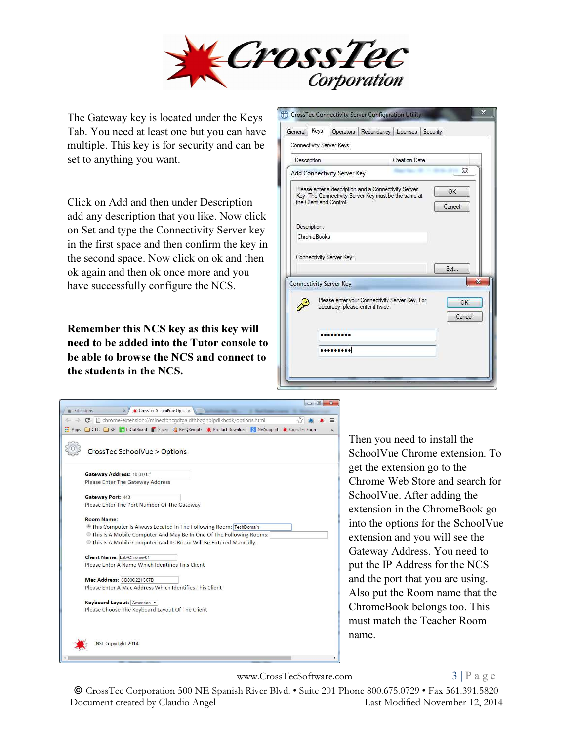

The Gateway key is located under the Keys Tab. You need at least one but you can have multiple. This key is for security and can be set to anything you want.

Click on Add and then under Description add any description that you like. Now click on Set and type the Connectivity Server key in the first space and then confirm the key in the second space. Now click on ok and then ok again and then ok once more and you have successfully configure the NCS.

Remember this NCS key as this key will need to be added into the Tutor console to be able to browse the NCS and connect to the students in the NCS.

|              | Keys<br>Operators<br>Connectivity Server Keys:                                                                                          | Redundancy   Licenses | Security     |
|--------------|-----------------------------------------------------------------------------------------------------------------------------------------|-----------------------|--------------|
| Description  |                                                                                                                                         | <b>Creation Date</b>  |              |
|              | Add Connectivity Server Key                                                                                                             |                       | X            |
| Description: | Please enter a description and a Connectivity Server<br>Key. The Connectivity Server Key must be the same at<br>the Client and Control. |                       | OK<br>Cancel |
|              | ChromeBooks                                                                                                                             |                       |              |
|              |                                                                                                                                         |                       |              |
|              | Connectivity Server Key:                                                                                                                |                       | Set          |
|              | <b>Connectivity Server Key</b>                                                                                                          |                       | х            |
|              | Please enter your Connectivity Server Key. For<br>accuracy, please enter it twice.                                                      |                       | OK<br>Cancel |
|              |                                                                                                                                         |                       |              |



Then you need to install the SchoolVue Chrome extension. To get the extension go to the Chrome Web Store and search for SchoolVue. After adding the extension in the ChromeBook go into the options for the SchoolVue extension and you will see the Gateway Address. You need to put the IP Address for the NCS and the port that you are using. Also put the Room name that the ChromeBook belongs too. This must match the Teacher Room name.

www.CrossTecSoftware.com 3 | P a g e

## © CrossTec Corporation 500 NE Spanish River Blvd. • Suite 201 Phone 800.675.0729 • Fax 561.391.5820 Document created by Claudio Angel Last Modified November 12, 2014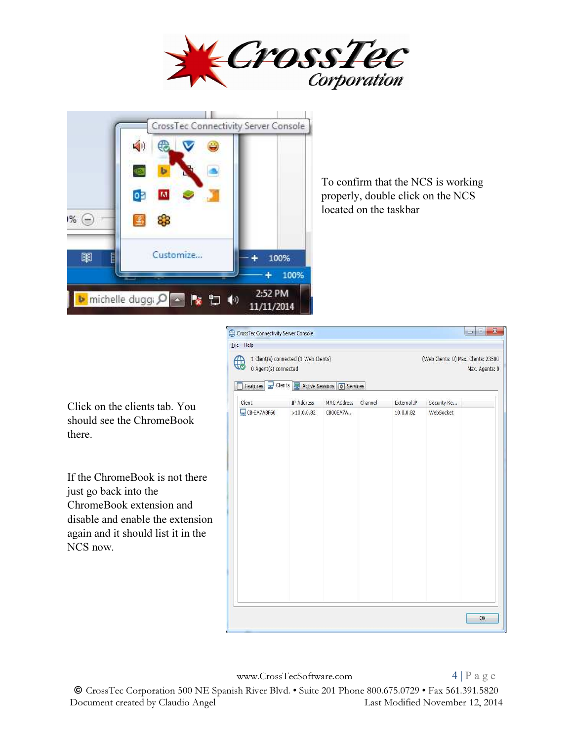



To confirm that the NCS is working properly, double click on the NCS located on the taskbar

Click on the clients tab. You should see the ChromeBook there.

If the ChromeBook is not there just go back into the ChromeBook extension and disable and enable the extension again and it should list it in the NCS now.

| File Help                                       |                                       |             |         |             |                                                        |
|-------------------------------------------------|---------------------------------------|-------------|---------|-------------|--------------------------------------------------------|
| 0 Agent(s) connected                            | 1 Client(s) connected (1 Web Clients) |             |         |             | (Web Clients: 0) Max. Clients: 23500<br>Max. Agents: 0 |
| Features E Clients E Active Sessions # Services |                                       |             |         |             |                                                        |
| Client                                          | IP Address                            | MAC Address | Channel | External IP | Security Ke                                            |
| CB-EA7ABF60                                     | >10.0.0.82                            | CB00EA7A    |         | 10.0.0.82   | WebSocket                                              |
|                                                 |                                       |             |         |             | OK                                                     |